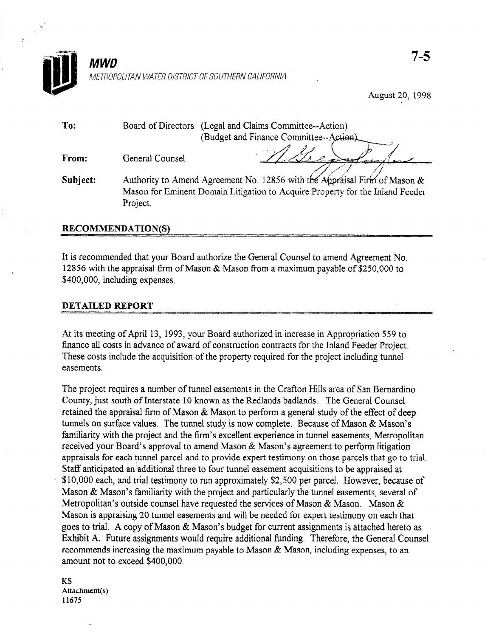

August 20, 1998

| To:      | (Legal and Claims Committee--Action)<br>Board of Directors                                                                                                             |  |
|----------|------------------------------------------------------------------------------------------------------------------------------------------------------------------------|--|
|          | (Budget and Finance Committee--Action).                                                                                                                                |  |
| From:    | General Counsel                                                                                                                                                        |  |
| Subject: | Authority to Amend Agreement No. 12856 with the Appraisal Firm of Mason &<br>Mason for Eminent Domain Litigation to Acquire Property for the Inland Feeder<br>Project. |  |
|          |                                                                                                                                                                        |  |

## RECOMMENDATION(S)

It is recommended that your Board authorize the General Counsel to amend Agreement No. 12856 with the appraisal firm of Mason & Mason from a maximum payable of \$250,000 to \$400,000, including expenses.

## DETAILED REPORT

At its meeting of April 13, 1993, your Board authorized in increase in Appropriation 559 to finance all costs in advance of award of construction contracts for the Inland Feeder Project. These costs include the acquisition of the property required for the project including tunnel easements.

The project requires a number of tunnel easements in the Crafion Hills area of San Bernardino County, just south of Interstate 10 known as the Redlands badlands. The General Counsel retained the appraisal firm of Mason & Mason to perform a general study of the effect of deep tunnels on surface values. The tunnel study is now complete. Because of Mason & Mason's familiarity with the project and the firm's excellent experience in tunnel easements, Metropolitan received your Board's approval to amend Mason & Mason's agreement to perform litigation appraisals for each tunnel parcel and to provide expert testimony on those parcels that go to trial. Staff anticipated an'additional three to four tunnel easement acquisitions to be appraised at \$10,000 each, and trial testimony to run approximately \$2,500 per parcel. However, because of Mason & Mason's familiarity with the project and particularly the tunnel easements, several of Metropolitan's outside counsel have requested the services of Mason & Mason. Mason & Mason is appraising 20 tunnel easements and will be needed for expert testimony on each that goes to trial. A copy of Mason & Mason's budget for current assignments is attached hereto as Exhibit A. Future assignments would require additional tinding. Therefore, the General Counsel recommends increasing the maximum payable to Mason & Mason, including expenses, to an amount not to exceed \$400,000.

KS Attachment(s) 11675